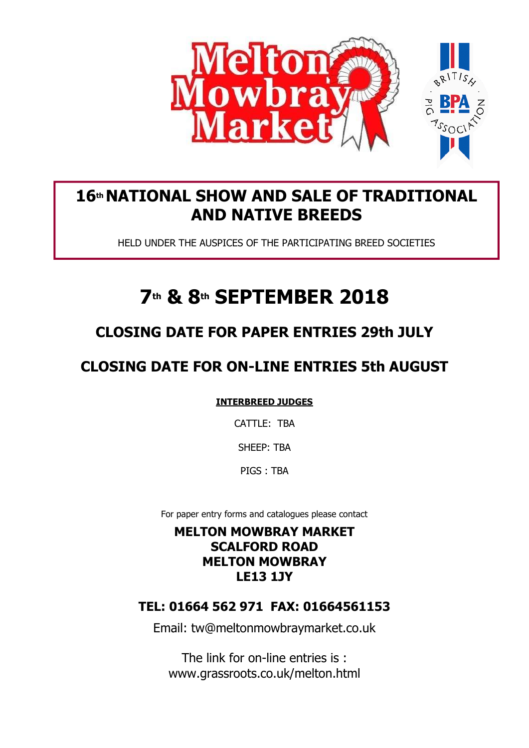

# **16th NATIONAL SHOW AND SALE OF TRADITIONAL AND NATIVE BREEDS**

HELD UNDER THE AUSPICES OF THE PARTICIPATING BREED SOCIETIES

# **7th & 8th SEPTEMBER 2018**

# **CLOSING DATE FOR PAPER ENTRIES 29th JULY**

# **CLOSING DATE FOR ON-LINE ENTRIES 5th AUGUST**

**INTERBREED JUDGES**

CATTLE: TBA

SHEEP: TBA

PIGS : TBA

For paper entry forms and catalogues please contact

# **MELTON MOWBRAY MARKET SCALFORD ROAD MELTON MOWBRAY LE13 1JY**

# **TEL: 01664 562 971 FAX: 01664561153**

Email: tw@meltonmowbraymarket.co.uk

The link for on-line entries is : www.grassroots.co.uk/melton.html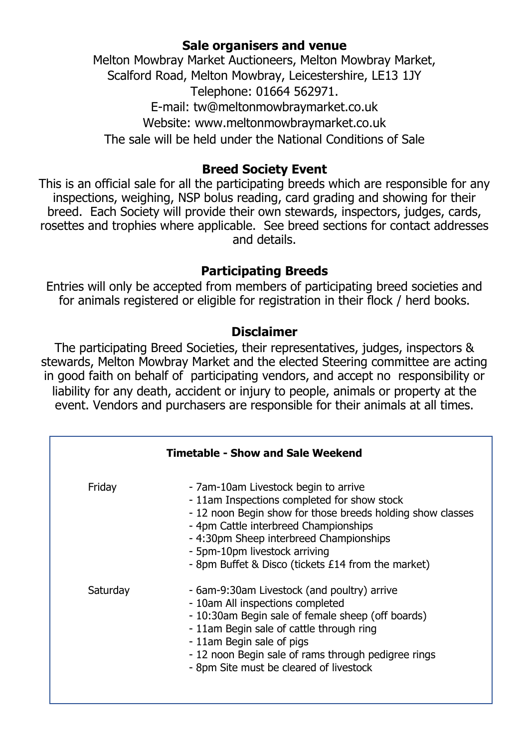# **Sale organisers and venue**

Melton Mowbray Market Auctioneers, Melton Mowbray Market, Scalford Road, Melton Mowbray, Leicestershire, LE13 1JY Telephone: 01664 562971. E-mail: tw@meltonmowbraymarket.co.uk Website: www.meltonmowbraymarket.co.uk

The sale will be held under the National Conditions of Sale

# **Breed Society Event**

This is an official sale for all the participating breeds which are responsible for any inspections, weighing, NSP bolus reading, card grading and showing for their breed. Each Society will provide their own stewards, inspectors, judges, cards, rosettes and trophies where applicable. See breed sections for contact addresses and details.

# **Participating Breeds**

Entries will only be accepted from members of participating breed societies and for animals registered or eligible for registration in their flock / herd books.

# **Disclaimer**

The participating Breed Societies, their representatives, judges, inspectors & stewards, Melton Mowbray Market and the elected Steering committee are acting in good faith on behalf of participating vendors, and accept no responsibility or liability for any death, accident or injury to people, animals or property at the event. Vendors and purchasers are responsible for their animals at all times.

| <b>Timetable - Show and Sale Weekend</b> |                                                                                                                                                                                                                                                                                                                              |  |
|------------------------------------------|------------------------------------------------------------------------------------------------------------------------------------------------------------------------------------------------------------------------------------------------------------------------------------------------------------------------------|--|
| Friday                                   | - 7am-10am Livestock begin to arrive<br>- 11am Inspections completed for show stock<br>- 12 noon Begin show for those breeds holding show classes<br>- 4pm Cattle interbreed Championships<br>- 4:30pm Sheep interbreed Championships<br>- 5pm-10pm livestock arriving<br>- 8pm Buffet & Disco (tickets £14 from the market) |  |
| Saturday                                 | - 6am-9:30am Livestock (and poultry) arrive<br>- 10am All inspections completed<br>- 10:30am Begin sale of female sheep (off boards)<br>- 11am Begin sale of cattle through ring<br>- 11am Begin sale of pigs<br>- 12 noon Begin sale of rams through pedigree rings<br>- 8pm Site must be cleared of livestock              |  |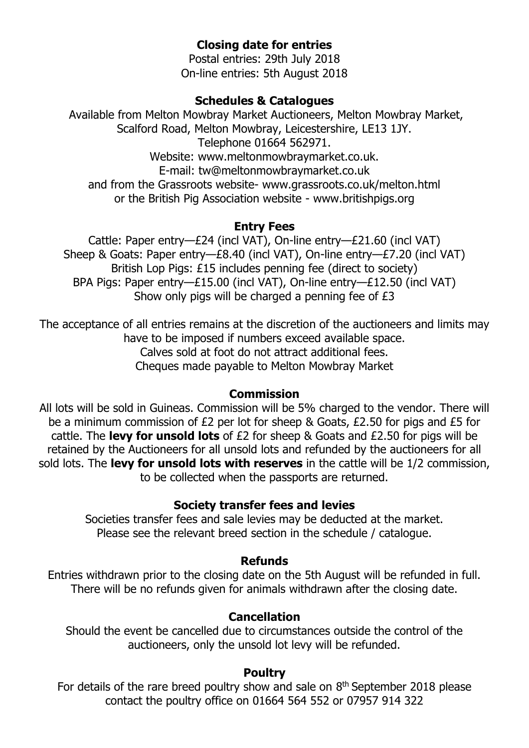# **Closing date for entries**

Postal entries: 29th July 2018 On-line entries: 5th August 2018

#### **Schedules & Catalogues**

Available from Melton Mowbray Market Auctioneers, Melton Mowbray Market, Scalford Road, Melton Mowbray, Leicestershire, LE13 1JY. Telephone 01664 562971. Website: www.meltonmowbraymarket.co.uk. E-mail: tw@meltonmowbraymarket.co.uk and from the Grassroots website- www.grassroots.co.uk/melton.html or the British Pig Association website - www.britishpigs.org

### **Entry Fees**

Cattle: Paper entry—£24 (incl VAT), On-line entry—£21.60 (incl VAT) Sheep & Goats: Paper entry—£8.40 (incl VAT), On-line entry—£7.20 (incl VAT) British Lop Pigs: £15 includes penning fee (direct to society) BPA Pigs: Paper entry—£15.00 (incl VAT), On-line entry—£12.50 (incl VAT) Show only pigs will be charged a penning fee of £3

The acceptance of all entries remains at the discretion of the auctioneers and limits may have to be imposed if numbers exceed available space. Calves sold at foot do not attract additional fees. Cheques made payable to Melton Mowbray Market

#### **Commission**

All lots will be sold in Guineas. Commission will be 5% charged to the vendor. There will be a minimum commission of £2 per lot for sheep & Goats, £2.50 for pigs and £5 for cattle. The **levy for unsold lots** of £2 for sheep & Goats and £2.50 for pigs will be retained by the Auctioneers for all unsold lots and refunded by the auctioneers for all sold lots. The **levy for unsold lots with reserves** in the cattle will be 1/2 commission, to be collected when the passports are returned.

#### **Society transfer fees and levies**

Societies transfer fees and sale levies may be deducted at the market. Please see the relevant breed section in the schedule / catalogue.

#### **Refunds**

Entries withdrawn prior to the closing date on the 5th August will be refunded in full. There will be no refunds given for animals withdrawn after the closing date.

#### **Cancellation**

Should the event be cancelled due to circumstances outside the control of the auctioneers, only the unsold lot levy will be refunded.

#### **Poultry**

For details of the rare breed poultry show and sale on  $8<sup>th</sup>$  September 2018 please contact the poultry office on 01664 564 552 or 07957 914 322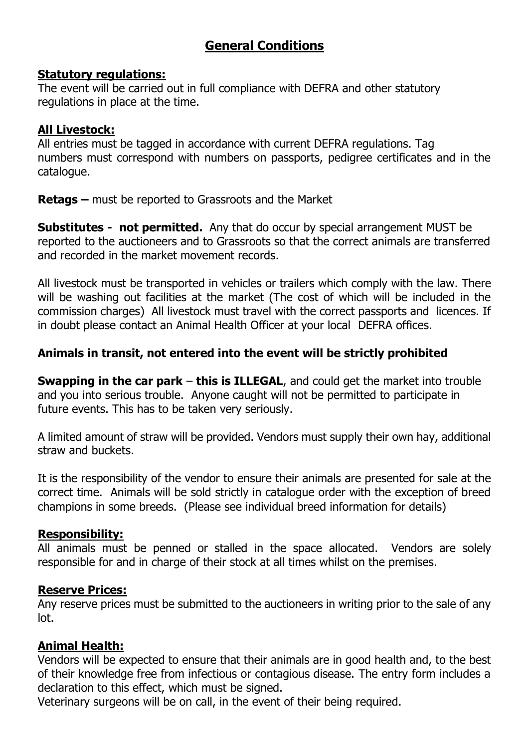# **General Conditions**

#### **Statutory regulations:**

The event will be carried out in full compliance with DEFRA and other statutory regulations in place at the time.

#### **All Livestock:**

All entries must be tagged in accordance with current DEFRA regulations. Tag numbers must correspond with numbers on passports, pedigree certificates and in the catalogue.

**Retags –** must be reported to Grassroots and the Market

**Substitutes - not permitted.** Any that do occur by special arrangement MUST be reported to the auctioneers and to Grassroots so that the correct animals are transferred and recorded in the market movement records.

All livestock must be transported in vehicles or trailers which comply with the law. There will be washing out facilities at the market (The cost of which will be included in the commission charges) All livestock must travel with the correct passports and licences. If in doubt please contact an Animal Health Officer at your local DEFRA offices.

### **Animals in transit, not entered into the event will be strictly prohibited**

**Swapping in the car park** – **this is ILLEGAL**, and could get the market into trouble and you into serious trouble. Anyone caught will not be permitted to participate in future events. This has to be taken very seriously.

A limited amount of straw will be provided. Vendors must supply their own hay, additional straw and buckets.

It is the responsibility of the vendor to ensure their animals are presented for sale at the correct time. Animals will be sold strictly in catalogue order with the exception of breed champions in some breeds. (Please see individual breed information for details)

#### **Responsibility:**

All animals must be penned or stalled in the space allocated. Vendors are solely responsible for and in charge of their stock at all times whilst on the premises.

#### **Reserve Prices:**

Any reserve prices must be submitted to the auctioneers in writing prior to the sale of any lot.

#### **Animal Health:**

Vendors will be expected to ensure that their animals are in good health and, to the best of their knowledge free from infectious or contagious disease. The entry form includes a declaration to this effect, which must be signed.

Veterinary surgeons will be on call, in the event of their being required.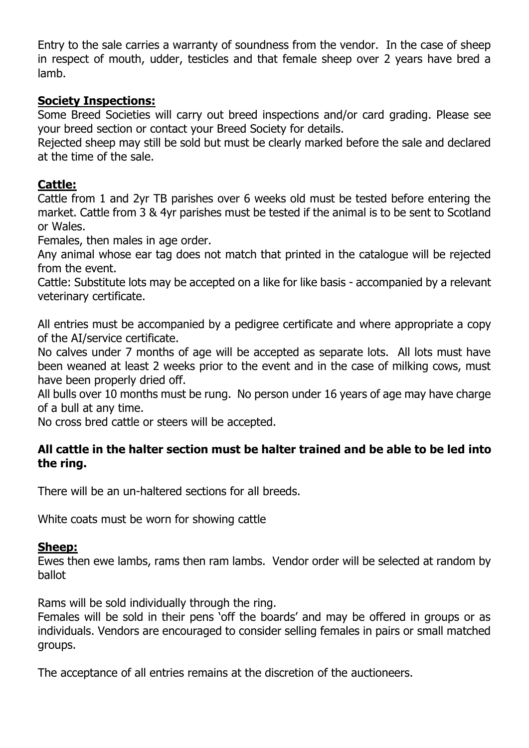Entry to the sale carries a warranty of soundness from the vendor. In the case of sheep in respect of mouth, udder, testicles and that female sheep over 2 years have bred a lamb.

### **Society Inspections:**

Some Breed Societies will carry out breed inspections and/or card grading. Please see your breed section or contact your Breed Society for details.

Rejected sheep may still be sold but must be clearly marked before the sale and declared at the time of the sale.

### **Cattle:**

Cattle from 1 and 2yr TB parishes over 6 weeks old must be tested before entering the market. Cattle from 3 & 4yr parishes must be tested if the animal is to be sent to Scotland or Wales.

Females, then males in age order.

Any animal whose ear tag does not match that printed in the catalogue will be rejected from the event.

Cattle: Substitute lots may be accepted on a like for like basis - accompanied by a relevant veterinary certificate.

All entries must be accompanied by a pedigree certificate and where appropriate a copy of the AI/service certificate.

No calves under 7 months of age will be accepted as separate lots. All lots must have been weaned at least 2 weeks prior to the event and in the case of milking cows, must have been properly dried off.

All bulls over 10 months must be rung. No person under 16 years of age may have charge of a bull at any time.

No cross bred cattle or steers will be accepted.

#### **All cattle in the halter section must be halter trained and be able to be led into the ring.**

There will be an un-haltered sections for all breeds.

White coats must be worn for showing cattle

#### **Sheep:**

Ewes then ewe lambs, rams then ram lambs. Vendor order will be selected at random by ballot

Rams will be sold individually through the ring.

Females will be sold in their pens 'off the boards' and may be offered in groups or as individuals. Vendors are encouraged to consider selling females in pairs or small matched groups.

The acceptance of all entries remains at the discretion of the auctioneers.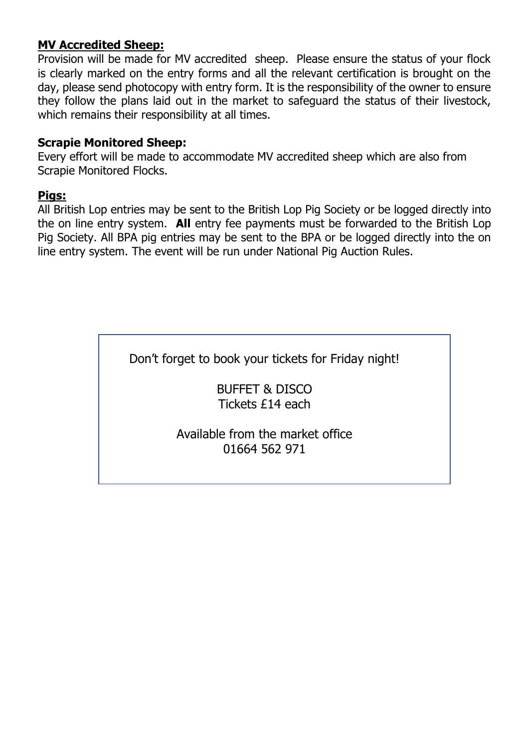### **MV Accredited Sheep:**

Provision will be made for MV accredited sheep. Please ensure the status of your flock is clearly marked on the entry forms and all the relevant certification is brought on the day, please send photocopy with entry form. It is the responsibility of the owner to ensure they follow the plans laid out in the market to safeguard the status of their livestock, which remains their responsibility at all times.

#### **Scrapie Monitored Sheep:**

Every effort will be made to accommodate MV accredited sheep which are also from Scrapie Monitored Flocks.

#### **Pigs:**

All British Lop entries may be sent to the British Lop Pig Society or be logged directly into the on line entry system. **All** entry fee payments must be forwarded to the British Lop Pig Society. All BPA pig entries may be sent to the BPA or be logged directly into the on line entry system. The event will be run under National Pig Auction Rules.

Don't forget to book your tickets for Friday night!

BUFFET & DISCO Tickets £14 each

Available from the market office 01664 562 971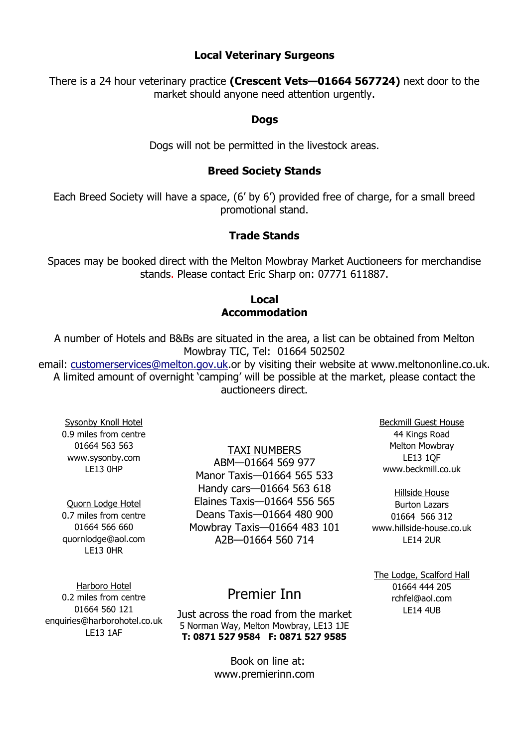#### **Local Veterinary Surgeons**

There is a 24 hour veterinary practice **(Crescent Vets—01664 567724)** next door to the market should anyone need attention urgently.

#### **Dogs**

Dogs will not be permitted in the livestock areas.

#### **Breed Society Stands**

Each Breed Society will have a space, (6' by 6') provided free of charge, for a small breed promotional stand.

#### **Trade Stands**

Spaces may be booked direct with the Melton Mowbray Market Auctioneers for merchandise stands. Please contact Eric Sharp on: 07771 611887.

#### **Local Accommodation**

A number of Hotels and B&Bs are situated in the area, a list can be obtained from Melton Mowbray TIC, Tel: 01664 502502

email: [customerservices@melton.gov.uk.](mailto:emailcustomerservices@melton.gov.uk)or by visiting their website at www.meltononline.co.uk. A limited amount of overnight 'camping' will be possible at the market, please contact the auctioneers direct.

Sysonby Knoll Hotel 0.9 miles from centre 01664 563 563 www.sysonby.com LE13 0HP

Quorn Lodge Hotel 0.7 miles from centre 01664 566 660 quornlodge@aol.com LE13 0HR

TAXI NUMBERS

ABM—01664 569 977 Manor Taxis—01664 565 533 Handy cars—01664 563 618 Elaines Taxis—01664 556 565 Deans Taxis—01664 480 900 Mowbray Taxis—01664 483 101 A2B—01664 560 714

Beckmill Guest House 44 Kings Road Melton Mowbray LE13 1QF www.beckmill.co.uk

Hillside House Burton Lazars 01664 566 312 www.hillside-house.co.uk LE14 2UR

The Lodge, Scalford Hall 01664 444 205 rchfel@aol.com LE14 4UB

Harboro Hotel 0.2 miles from centre 01664 560 121 enquiries@harborohotel.co.uk LE13 1AF

# Premier Inn

Just across the road from the market 5 Norman Way, Melton Mowbray, LE13 1JE **T: 0871 527 9584 F: 0871 527 9585**

> Book on line at: www.premierinn.com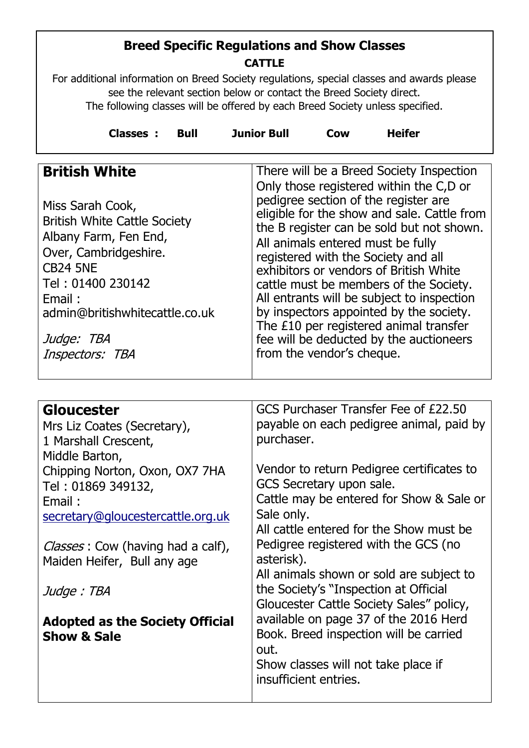# **Breed Specific Regulations and Show Classes CATTLE**

For additional information on Breed Society regulations, special classes and awards please see the relevant section below or contact the Breed Society direct. The following classes will be offered by each Breed Society unless specified.

| Classes :<br><b>Heifer</b><br><b>Junior Bull</b><br><b>Bull</b><br>Cow |  |
|------------------------------------------------------------------------|--|
|------------------------------------------------------------------------|--|

| <b>British White</b>                                                                                                                                                                                                           | There will be a Breed Society Inspection<br>Only those registered within the C,D or                                                                                                                                                                                                                                                                                                                                                                                                                         |
|--------------------------------------------------------------------------------------------------------------------------------------------------------------------------------------------------------------------------------|-------------------------------------------------------------------------------------------------------------------------------------------------------------------------------------------------------------------------------------------------------------------------------------------------------------------------------------------------------------------------------------------------------------------------------------------------------------------------------------------------------------|
| Miss Sarah Cook,<br><b>British White Cattle Society</b><br>Albany Farm, Fen End,<br>Over, Cambridgeshire.<br><b>CB24 5NE</b><br>Tel: 01400 230142<br>Email:<br>admin@britishwhitecattle.co.uk<br>Judge: TBA<br>Inspectors: TBA | pedigree section of the register are<br>eligible for the show and sale. Cattle from<br>the B register can be sold but not shown.<br>All animals entered must be fully<br>registered with the Society and all<br>exhibitors or vendors of British White<br>cattle must be members of the Society.<br>All entrants will be subject to inspection<br>by inspectors appointed by the society.<br>The £10 per registered animal transfer<br>fee will be deducted by the auctioneers<br>from the vendor's cheque. |
|                                                                                                                                                                                                                                |                                                                                                                                                                                                                                                                                                                                                                                                                                                                                                             |

| Gloucester<br>Mrs Liz Coates (Secretary),<br>1 Marshall Crescent,<br>Middle Barton, | GCS Purchaser Transfer Fee of £22.50<br>payable on each pedigree animal, paid by<br>purchaser.                                                                                                      |
|-------------------------------------------------------------------------------------|-----------------------------------------------------------------------------------------------------------------------------------------------------------------------------------------------------|
| Chipping Norton, Oxon, OX7 7HA<br>Tel: 01869 349132,                                | Vendor to return Pedigree certificates to<br>GCS Secretary upon sale.                                                                                                                               |
| Email:<br>secretary@gloucestercattle.org.uk                                         | Cattle may be entered for Show & Sale or<br>Sale only.                                                                                                                                              |
| <i>Classes</i> : Cow (having had a calf),<br>Maiden Heifer, Bull any age            | All cattle entered for the Show must be<br>Pedigree registered with the GCS (no<br>asterisk).                                                                                                       |
| Judge : TBA                                                                         | All animals shown or sold are subject to<br>the Society's "Inspection at Official                                                                                                                   |
| <b>Adopted as the Society Official</b><br><b>Show &amp; Sale</b>                    | Gloucester Cattle Society Sales" policy,<br>available on page 37 of the 2016 Herd<br>Book. Breed inspection will be carried<br>out.<br>Show classes will not take place if<br>insufficient entries. |
|                                                                                     |                                                                                                                                                                                                     |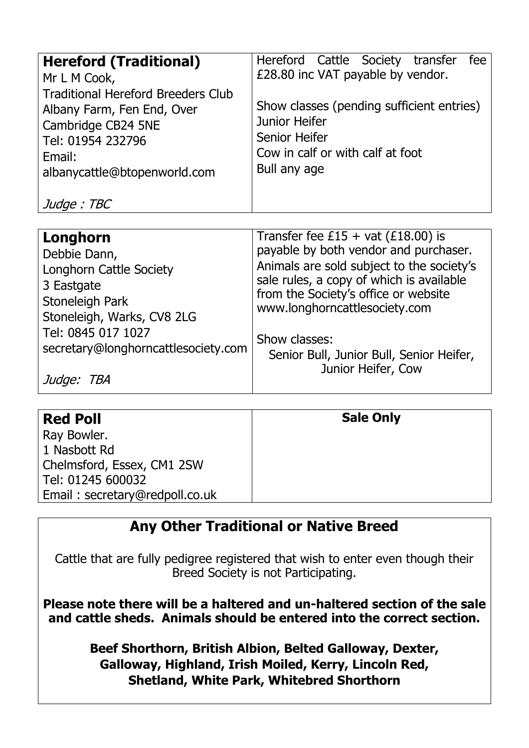| <b>Hereford (Traditional)</b>             | Hereford Cattle Society transfer<br>fee                        |
|-------------------------------------------|----------------------------------------------------------------|
| Mr L M Cook,                              | £28.80 inc VAT payable by vendor.                              |
| <b>Traditional Hereford Breeders Club</b> |                                                                |
| Albany Farm, Fen End, Over                | Show classes (pending sufficient entries)                      |
| Cambridge CB24 5NE                        | <b>Junior Heifer</b>                                           |
| Tel: 01954 232796                         | Senior Heifer                                                  |
| Email:                                    | Cow in calf or with calf at foot                               |
| albanycattle@btopenworld.com              | Bull any age                                                   |
|                                           |                                                                |
| Judge: TBC                                |                                                                |
|                                           |                                                                |
| Longhorn                                  | Transfer fee £15 + vat $(E18.00)$ is                           |
| Debbie Dann,                              | payable by both vendor and purchaser.                          |
| Longhorn Cattle Society                   | Animals are sold subject to the society's                      |
| 3 Eastgate                                | sale rules, a copy of which is available                       |
| Stoneleigh Park                           | from the Society's office or website                           |
| Stoneleigh, Warks, CV8 2LG                | www.longhorncattlesociety.com                                  |
| Tel: 0845 017 1027                        |                                                                |
| secretary@longhorncattlesociety.com       | Show classes:                                                  |
|                                           | Senior Bull, Junior Bull, Senior Heifer,<br>Junior Heifer, Cow |
| Judge: TBA                                |                                                                |

| <b>Red Poll</b>                | <b>Sale Only</b> |
|--------------------------------|------------------|
| Ray Bowler.                    |                  |
| 1 Nasbott Rd                   |                  |
| Chelmsford, Essex, CM1 2SW     |                  |
| Tel: 01245 600032              |                  |
| Email: secretary@redpoll.co.uk |                  |

# **Any Other Traditional or Native Breed**

Cattle that are fully pedigree registered that wish to enter even though their Breed Society is not Participating.

**Please note there will be a haltered and un-haltered section of the sale and cattle sheds. Animals should be entered into the correct section.**

> **Beef Shorthorn, British Albion, Belted Galloway, Dexter, Galloway, Highland, Irish Moiled, Kerry, Lincoln Red, Shetland, White Park, Whitebred Shorthorn**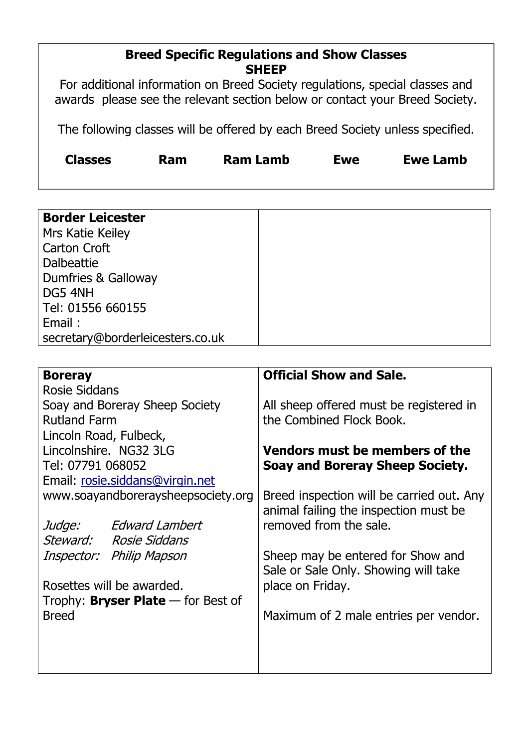### **Breed Specific Regulations and Show Classes SHEEP**

For additional information on Breed Society regulations, special classes and awards please see the relevant section below or contact your Breed Society.

The following classes will be offered by each Breed Society unless specified.

| <b>Classes</b> | <b>Ram</b> | <b>Ram Lamb</b> | <b>Ewe</b> | <b>Ewe Lamb</b> |
|----------------|------------|-----------------|------------|-----------------|
|                |            |                 |            |                 |

| <b>Boreray</b>                              | <b>Official Show and Sale.</b>                                                     |
|---------------------------------------------|------------------------------------------------------------------------------------|
| <b>Rosie Siddans</b>                        |                                                                                    |
| Soay and Boreray Sheep Society              | All sheep offered must be registered in                                            |
| <b>Rutland Farm</b>                         | the Combined Flock Book.                                                           |
| Lincoln Road, Fulbeck,                      |                                                                                    |
| Lincolnshire, NG32 3LG                      | <b>Vendors must be members of the</b>                                              |
| Tel: 07791 068052                           | Soay and Boreray Sheep Society.                                                    |
| Email: rosie.siddans@virgin.net             |                                                                                    |
| www.soayandboreraysheepsociety.org          | Breed inspection will be carried out. Any<br>animal failing the inspection must be |
| Judge: Edward Lambert                       | removed from the sale.                                                             |
| Steward: Rosie Siddans                      |                                                                                    |
| Inspector: Philip Mapson                    | Sheep may be entered for Show and<br>Sale or Sale Only. Showing will take          |
| Rosettes will be awarded.                   | place on Friday.                                                                   |
| Trophy: <b>Bryser Plate</b> $-$ for Best of |                                                                                    |
| <b>Breed</b>                                | Maximum of 2 male entries per vendor.                                              |
|                                             |                                                                                    |
|                                             |                                                                                    |
|                                             |                                                                                    |
|                                             |                                                                                    |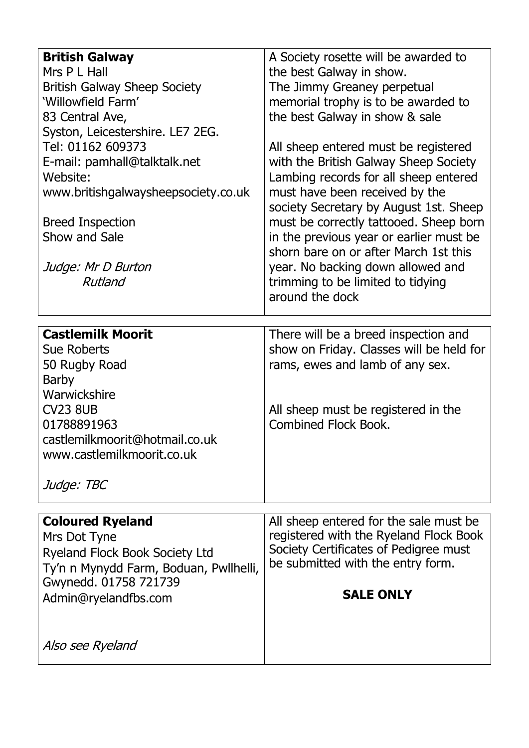| <b>British Galway</b>                  | A Society rosette will be awarded to                                            |
|----------------------------------------|---------------------------------------------------------------------------------|
| Mrs P L Hall                           | the best Galway in show.                                                        |
| <b>British Galway Sheep Society</b>    | The Jimmy Greaney perpetual                                                     |
| 'Willowfield Farm'                     | memorial trophy is to be awarded to                                             |
| 83 Central Ave,                        | the best Galway in show & sale                                                  |
| Syston, Leicestershire. LE7 2EG.       |                                                                                 |
| Tel: 01162 609373                      | All sheep entered must be registered                                            |
| E-mail: pamhall@talktalk.net           | with the British Galway Sheep Society                                           |
| Website:                               | Lambing records for all sheep entered                                           |
| www.britishgalwaysheepsociety.co.uk    | must have been received by the                                                  |
|                                        | society Secretary by August 1st. Sheep                                          |
| <b>Breed Inspection</b>                | must be correctly tattooed. Sheep born                                          |
| Show and Sale                          | in the previous year or earlier must be                                         |
|                                        | shorn bare on or after March 1st this                                           |
| Judge: Mr D Burton                     | year. No backing down allowed and                                               |
| Rutland                                | trimming to be limited to tidying                                               |
|                                        | around the dock                                                                 |
|                                        |                                                                                 |
| <b>Castlemilk Moorit</b>               | There will be a breed inspection and                                            |
| <b>Sue Roberts</b>                     | show on Friday. Classes will be held for                                        |
| 50 Rugby Road                          | rams, ewes and lamb of any sex.                                                 |
| Barby                                  |                                                                                 |
| Warwickshire                           |                                                                                 |
| <b>CV23 8UB</b>                        | All sheep must be registered in the                                             |
| 01788891963                            | <b>Combined Flock Book.</b>                                                     |
| castlemilkmoorit@hotmail.co.uk         |                                                                                 |
| www.castlemilkmoorit.co.uk             |                                                                                 |
|                                        |                                                                                 |
| Judge: TBC                             |                                                                                 |
|                                        |                                                                                 |
| <b>Coloured Ryeland</b>                | All sheep entered for the sale must be                                          |
| Mrs Dot Tyne                           | registered with the Ryeland Flock Book<br>Society Certificates of Pedigree must |
| <b>Ryeland Flock Book Society Ltd</b>  | be submitted with the entry form.                                               |
| Ty'n n Mynydd Farm, Boduan, Pwllhelli, |                                                                                 |
| Gwynedd. 01758 721739                  | <b>SALE ONLY</b>                                                                |
| Admin@ryelandfbs.com                   |                                                                                 |
|                                        |                                                                                 |
| Also see Ryeland                       |                                                                                 |
|                                        |                                                                                 |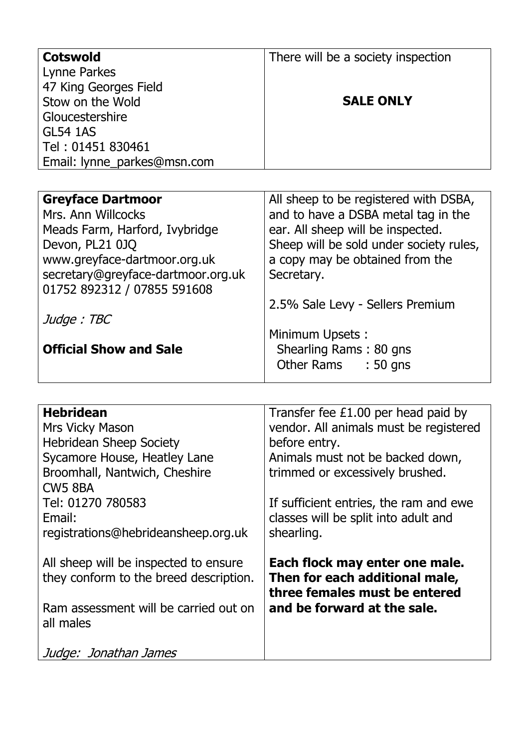| <b>Cotswold</b>                    | There will be a society inspection      |
|------------------------------------|-----------------------------------------|
| Lynne Parkes                       |                                         |
| 47 King Georges Field              |                                         |
| Stow on the Wold                   | <b>SALE ONLY</b>                        |
| Gloucestershire                    |                                         |
| <b>GL54 1AS</b>                    |                                         |
| Tel: 01451 830461                  |                                         |
| Email: lynne_parkes@msn.com        |                                         |
|                                    |                                         |
| <b>Greyface Dartmoor</b>           | All sheep to be registered with DSBA,   |
| Mrs. Ann Willcocks                 | and to have a DSBA metal tag in the     |
| Meads Farm, Harford, Ivybridge     | ear. All sheep will be inspected.       |
| Devon, PL21 0JQ                    | Sheep will be sold under society rules, |
| www.greyface-dartmoor.org.uk       | a copy may be obtained from the         |
| secretary@greyface-dartmoor.org.uk | Secretary.                              |
| 01752 892312 / 07855 591608        |                                         |
|                                    | 2.5% Sale Levy - Sellers Premium        |
| Judge: TBC                         |                                         |
|                                    | Minimum Upsets:                         |
| <b>Official Show and Sale</b>      | Shearling Rams: 80 gns                  |
|                                    | Other Rams<br>$:50$ gns                 |
|                                    |                                         |

| <b>Hebridean</b>                       | Transfer fee $£1.00$ per head paid by  |
|----------------------------------------|----------------------------------------|
| Mrs Vicky Mason                        | vendor. All animals must be registered |
| <b>Hebridean Sheep Society</b>         | before entry.                          |
| Sycamore House, Heatley Lane           | Animals must not be backed down,       |
| Broomhall, Nantwich, Cheshire          | trimmed or excessively brushed.        |
| <b>CW5 8BA</b>                         |                                        |
| Tel: 01270 780583                      | If sufficient entries, the ram and ewe |
| Email:                                 | classes will be split into adult and   |
| registrations@hebrideansheep.org.uk    | shearling.                             |
|                                        |                                        |
| All sheep will be inspected to ensure  | Each flock may enter one male.         |
| they conform to the breed description. | Then for each additional male,         |
|                                        | three females must be entered          |
| Ram assessment will be carried out on  | and be forward at the sale.            |
| all males                              |                                        |
|                                        |                                        |
| Judge: Jonathan James                  |                                        |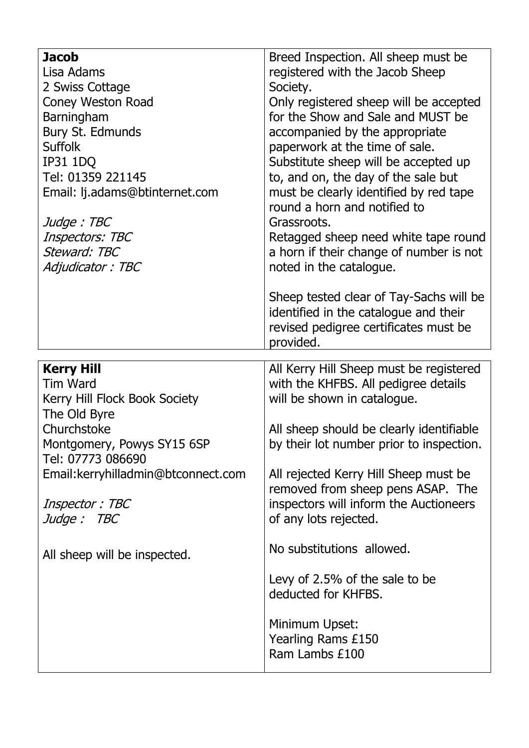| <b>Jacob</b><br>Lisa Adams<br>2 Swiss Cottage<br><b>Coney Weston Road</b><br>Barningham<br>Bury St. Edmunds<br><b>Suffolk</b><br><b>IP31 1DQ</b><br>Tel: 01359 221145<br>Email: lj.adams@btinternet.com<br>Judge: TBC<br>Inspectors: TBC<br>Steward: TBC<br>Adjudicator: TBC | Breed Inspection. All sheep must be<br>registered with the Jacob Sheep<br>Society.<br>Only registered sheep will be accepted<br>for the Show and Sale and MUST be<br>accompanied by the appropriate<br>paperwork at the time of sale.<br>Substitute sheep will be accepted up<br>to, and on, the day of the sale but<br>must be clearly identified by red tape<br>round a horn and notified to<br>Grassroots.<br>Retagged sheep need white tape round<br>a horn if their change of number is not<br>noted in the catalogue.<br>Sheep tested clear of Tay-Sachs will be<br>identified in the catalogue and their<br>revised pedigree certificates must be<br>provided. |
|------------------------------------------------------------------------------------------------------------------------------------------------------------------------------------------------------------------------------------------------------------------------------|-----------------------------------------------------------------------------------------------------------------------------------------------------------------------------------------------------------------------------------------------------------------------------------------------------------------------------------------------------------------------------------------------------------------------------------------------------------------------------------------------------------------------------------------------------------------------------------------------------------------------------------------------------------------------|
| <b>Kerry Hill</b><br><b>Tim Ward</b><br>Kerry Hill Flock Book Society<br>The Old Byre<br>Churchstoke<br>Montgomery, Powys SY15 6SP<br>Tel: 07773 086690<br>Email: kerryhilladmin@btconnect.com<br>Inspector: TBC<br>Judge: TBC<br>All sheep will be inspected.               | All Kerry Hill Sheep must be registered<br>with the KHFBS. All pedigree details<br>will be shown in catalogue.<br>All sheep should be clearly identifiable<br>by their lot number prior to inspection.<br>All rejected Kerry Hill Sheep must be<br>removed from sheep pens ASAP. The<br>inspectors will inform the Auctioneers<br>of any lots rejected.<br>No substitutions allowed.<br>Levy of 2.5% of the sale to be<br>deducted for KHFBS.<br>Minimum Upset:<br>Yearling Rams £150<br>Ram Lambs £100                                                                                                                                                               |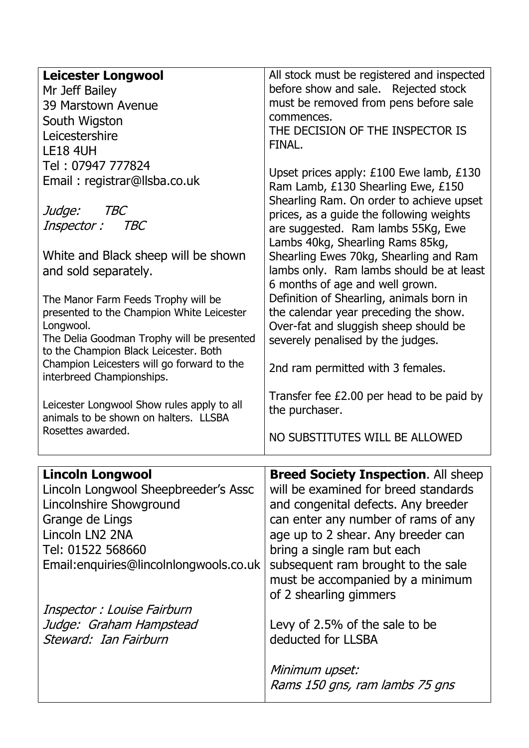| <b>Leicester Longwool</b><br>Mr Jeff Bailey<br>39 Marstown Avenue<br>South Wigston<br>Leicestershire<br><b>LE18 4UH</b><br>Tel: 07947 777824<br>Email: registrar@llsba.co.uk<br>Judge:<br><i>TBC</i><br>Inspector :<br>TBC<br>White and Black sheep will be shown<br>and sold separately.<br>The Manor Farm Feeds Trophy will be | All stock must be registered and inspected<br>before show and sale. Rejected stock<br>must be removed from pens before sale<br>commences.<br>THE DECISION OF THE INSPECTOR IS<br>FINAL.<br>Upset prices apply: £100 Ewe lamb, £130<br>Ram Lamb, £130 Shearling Ewe, £150<br>Shearling Ram. On order to achieve upset<br>prices, as a guide the following weights<br>are suggested. Ram lambs 55Kg, Ewe<br>Lambs 40kg, Shearling Rams 85kg,<br>Shearling Ewes 70kg, Shearling and Ram<br>lambs only. Ram lambs should be at least<br>6 months of age and well grown.<br>Definition of Shearling, animals born in |
|----------------------------------------------------------------------------------------------------------------------------------------------------------------------------------------------------------------------------------------------------------------------------------------------------------------------------------|-----------------------------------------------------------------------------------------------------------------------------------------------------------------------------------------------------------------------------------------------------------------------------------------------------------------------------------------------------------------------------------------------------------------------------------------------------------------------------------------------------------------------------------------------------------------------------------------------------------------|
| presented to the Champion White Leicester<br>Longwool.<br>The Delia Goodman Trophy will be presented<br>to the Champion Black Leicester. Both<br>Champion Leicesters will go forward to the<br>interbreed Championships.<br>Leicester Longwool Show rules apply to all                                                           | the calendar year preceding the show.<br>Over-fat and sluggish sheep should be<br>severely penalised by the judges.<br>2nd ram permitted with 3 females.<br>Transfer fee £2.00 per head to be paid by<br>the purchaser.                                                                                                                                                                                                                                                                                                                                                                                         |
| animals to be shown on halters. LLSBA<br>Rosettes awarded.                                                                                                                                                                                                                                                                       | NO SUBSTITUTES WILL BE ALLOWED                                                                                                                                                                                                                                                                                                                                                                                                                                                                                                                                                                                  |
|                                                                                                                                                                                                                                                                                                                                  |                                                                                                                                                                                                                                                                                                                                                                                                                                                                                                                                                                                                                 |
| <b>Lincoln Longwool</b><br>Lincoln Longwool Sheepbreeder's Assc<br>Lincolnshire Showground<br>Grange de Lings<br>Lincoln LN2 2NA<br>Tel: 01522 568660<br>Email: enquiries@lincolnlongwools.co.uk                                                                                                                                 | <b>Breed Society Inspection. All sheep</b><br>will be examined for breed standards<br>and congenital defects. Any breeder<br>can enter any number of rams of any<br>age up to 2 shear. Any breeder can<br>bring a single ram but each<br>subsequent ram brought to the sale<br>must be accompanied by a minimum<br>of 2 shearling gimmers                                                                                                                                                                                                                                                                       |
| Inspector : Louise Fairburn<br>Judge: Graham Hampstead<br>Steward: Ian Fairburn                                                                                                                                                                                                                                                  | Levy of 2.5% of the sale to be<br>deducted for LLSBA                                                                                                                                                                                                                                                                                                                                                                                                                                                                                                                                                            |
|                                                                                                                                                                                                                                                                                                                                  | Minimum upset:<br>Rams 150 gns, ram lambs 75 gns                                                                                                                                                                                                                                                                                                                                                                                                                                                                                                                                                                |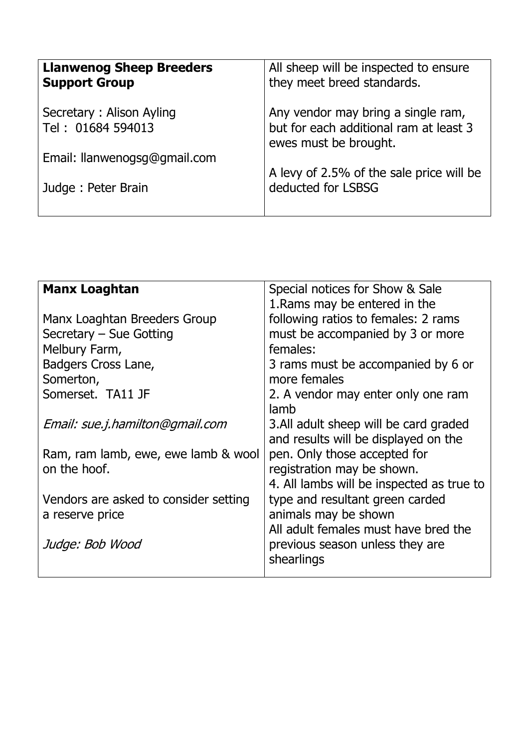| <b>Llanwenog Sheep Breeders</b><br><b>Support Group</b> | All sheep will be inspected to ensure<br>they meet breed standards.                                   |
|---------------------------------------------------------|-------------------------------------------------------------------------------------------------------|
| Secretary: Alison Ayling<br>Tel: 01684 594013           | Any vendor may bring a single ram,<br>but for each additional ram at least 3<br>ewes must be brought. |
| Email: Ilanwenogsg@gmail.com                            |                                                                                                       |
| Judge: Peter Brain                                      | A levy of 2.5% of the sale price will be<br>deducted for LSBSG                                        |

| <b>Manx Loaghtan</b>                  | Special notices for Show & Sale           |
|---------------------------------------|-------------------------------------------|
|                                       | 1. Rams may be entered in the             |
| Manx Loaghtan Breeders Group          | following ratios to females: 2 rams       |
| Secretary – Sue Gotting               | must be accompanied by 3 or more          |
| Melbury Farm,                         | females:                                  |
| Badgers Cross Lane,                   | 3 rams must be accompanied by 6 or        |
| Somerton,                             | more females                              |
| Somerset. TA11 JF                     | 2. A vendor may enter only one ram        |
|                                       | lamb                                      |
| Email: sue.j.hamilton@gmail.com       | 3. All adult sheep will be card graded    |
|                                       | and results will be displayed on the      |
| Ram, ram lamb, ewe, ewe lamb & wool   | pen. Only those accepted for              |
| on the hoof.                          | registration may be shown.                |
|                                       | 4. All lambs will be inspected as true to |
| Vendors are asked to consider setting | type and resultant green carded           |
| a reserve price                       | animals may be shown                      |
|                                       | All adult females must have bred the      |
| Judge: Bob Wood                       | previous season unless they are           |
|                                       | shearlings                                |
|                                       |                                           |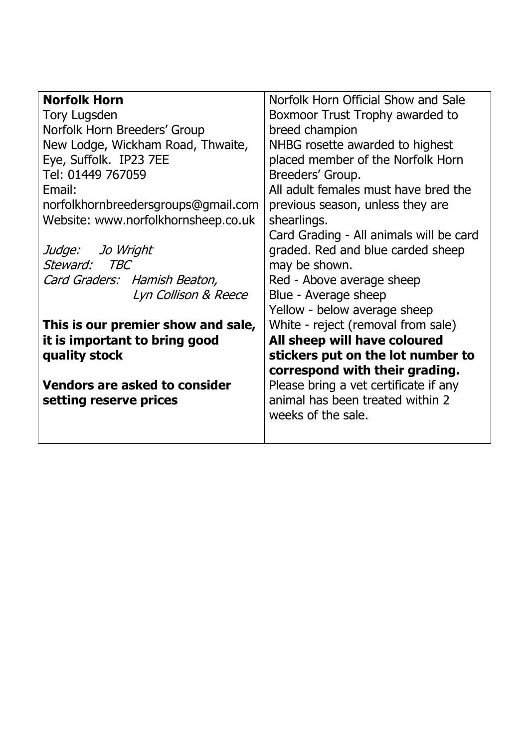| <b>Norfolk Horn</b>                  | Norfolk Horn Official Show and Sale     |
|--------------------------------------|-----------------------------------------|
| <b>Tory Lugsden</b>                  | Boxmoor Trust Trophy awarded to         |
| Norfolk Horn Breeders' Group         | breed champion                          |
| New Lodge, Wickham Road, Thwaite,    | NHBG rosette awarded to highest         |
| Eye, Suffolk. IP23 7EE               | placed member of the Norfolk Horn       |
| Tel: 01449 767059                    | Breeders' Group.                        |
| Email:                               | All adult females must have bred the    |
| norfolkhornbreedersgroups@gmail.com  | previous season, unless they are        |
| Website: www.norfolkhornsheep.co.uk  | shearlings.                             |
|                                      | Card Grading - All animals will be card |
| Judge: Jo Wright                     | graded. Red and blue carded sheep       |
| Steward:<br><i>TBC</i>               | may be shown.                           |
| Card Graders: Hamish Beaton,         | Red - Above average sheep               |
| Lyn Collison & Reece                 | Blue - Average sheep                    |
|                                      | Yellow - below average sheep            |
| This is our premier show and sale,   | White - reject (removal from sale)      |
| it is important to bring good        | All sheep will have coloured            |
| quality stock                        | stickers put on the lot number to       |
|                                      | correspond with their grading.          |
| <b>Vendors are asked to consider</b> | Please bring a vet certificate if any   |
| setting reserve prices               | animal has been treated within 2        |
|                                      | weeks of the sale.                      |
|                                      |                                         |
|                                      |                                         |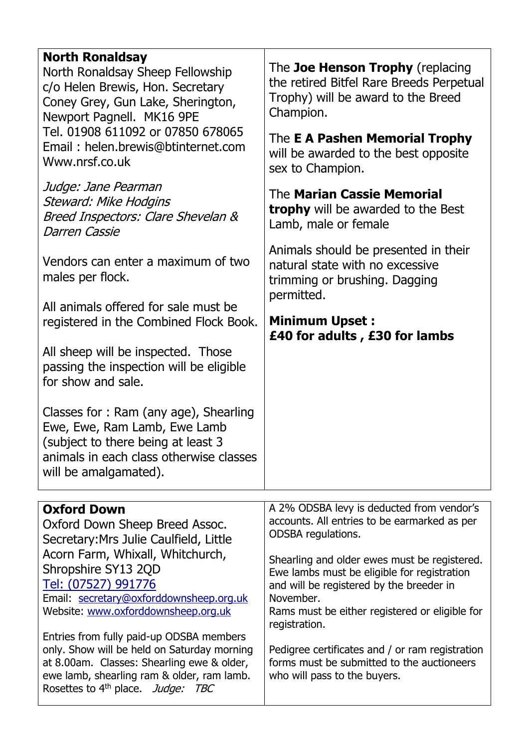| <b>North Ronaldsay</b><br>North Ronaldsay Sheep Fellowship<br>c/o Helen Brewis, Hon. Secretary<br>Coney Grey, Gun Lake, Sherington,<br>Newport Pagnell. MK16 9PE<br>Tel. 01908 611092 or 07850 678065<br>Email: helen.brewis@btinternet.com<br>Www.nrsf.co.uk<br>Judge: Jane Pearman<br>Steward: Mike Hodgins<br>Breed Inspectors: Clare Shevelan &<br><b>Darren Cassie</b><br>Vendors can enter a maximum of two<br>males per flock.<br>All animals offered for sale must be<br>registered in the Combined Flock Book.<br>All sheep will be inspected. Those<br>passing the inspection will be eligible | The Joe Henson Trophy (replacing<br>the retired Bitfel Rare Breeds Perpetual<br>Trophy) will be award to the Breed<br>Champion.<br>The E A Pashen Memorial Trophy<br>will be awarded to the best opposite<br>sex to Champion.<br>The Marian Cassie Memorial<br><b>trophy</b> will be awarded to the Best<br>Lamb, male or female<br>Animals should be presented in their<br>natural state with no excessive<br>trimming or brushing. Dagging<br>permitted.<br><b>Minimum Upset:</b><br>£40 for adults, £30 for lambs |
|----------------------------------------------------------------------------------------------------------------------------------------------------------------------------------------------------------------------------------------------------------------------------------------------------------------------------------------------------------------------------------------------------------------------------------------------------------------------------------------------------------------------------------------------------------------------------------------------------------|----------------------------------------------------------------------------------------------------------------------------------------------------------------------------------------------------------------------------------------------------------------------------------------------------------------------------------------------------------------------------------------------------------------------------------------------------------------------------------------------------------------------|
| for show and sale.<br>Classes for: Ram (any age), Shearling<br>Ewe, Ewe, Ram Lamb, Ewe Lamb<br>(subject to there being at least 3<br>animals in each class otherwise classes<br>will be amalgamated).                                                                                                                                                                                                                                                                                                                                                                                                    |                                                                                                                                                                                                                                                                                                                                                                                                                                                                                                                      |
|                                                                                                                                                                                                                                                                                                                                                                                                                                                                                                                                                                                                          |                                                                                                                                                                                                                                                                                                                                                                                                                                                                                                                      |
| <b>Oxford Down</b><br>Oxford Down Sheep Breed Assoc.<br>Secretary: Mrs Julie Caulfield, Little<br>Acorn Farm, Whixall, Whitchurch,<br>Shropshire SY13 2QD<br>Tel: (07527) 991776<br>Email: secretary@oxforddownsheep.org.uk<br>Website: www.oxforddownsheep.org.uk<br>Entries from fully paid-up ODSBA members<br>only. Show will be held on Saturday morning<br>at 8.00am. Classes: Shearling ewe & older,<br>ewe lamb, shearling ram & older, ram lamb.<br>Rosettes to 4 <sup>th</sup> place. Judge: TBC                                                                                               | A 2% ODSBA levy is deducted from vendor's<br>accounts. All entries to be earmarked as per<br>ODSBA regulations.<br>Shearling and older ewes must be registered.<br>Ewe lambs must be eligible for registration<br>and will be registered by the breeder in<br>November.<br>Rams must be either registered or eligible for<br>registration.<br>Pedigree certificates and / or ram registration<br>forms must be submitted to the auctioneers<br>who will pass to the buyers.                                          |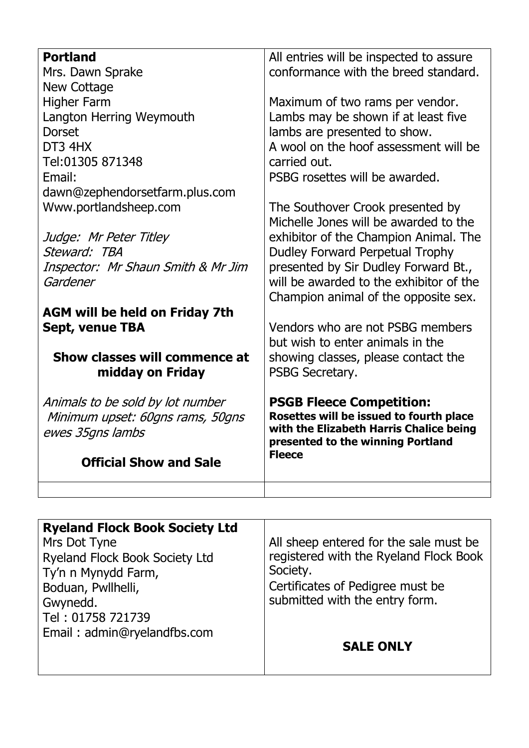| <b>Portland</b>                       | All entries will be inspected to assure                                      |
|---------------------------------------|------------------------------------------------------------------------------|
| Mrs. Dawn Sprake                      | conformance with the breed standard.                                         |
| <b>New Cottage</b>                    |                                                                              |
| <b>Higher Farm</b>                    | Maximum of two rams per vendor.                                              |
| Langton Herring Weymouth              | Lambs may be shown if at least five                                          |
| <b>Dorset</b>                         | lambs are presented to show.                                                 |
| DT3 4HX                               | A wool on the hoof assessment will be                                        |
| Tel:01305 871348                      | carried out.                                                                 |
| Email:                                | PSBG rosettes will be awarded.                                               |
| dawn@zephendorsetfarm.plus.com        |                                                                              |
| Www.portlandsheep.com                 | The Southover Crook presented by                                             |
|                                       | Michelle Jones will be awarded to the                                        |
| Judge: Mr Peter Titley                | exhibitor of the Champion Animal. The                                        |
| Steward: TBA                          | Dudley Forward Perpetual Trophy                                              |
| Inspector: Mr Shaun Smith & Mr Jim    | presented by Sir Dudley Forward Bt.,                                         |
| Gardener                              | will be awarded to the exhibitor of the                                      |
|                                       | Champion animal of the opposite sex.                                         |
| <b>AGM will be held on Friday 7th</b> |                                                                              |
| <b>Sept, venue TBA</b>                | Vendors who are not PSBG members                                             |
|                                       | but wish to enter animals in the                                             |
| Show classes will commence at         | showing classes, please contact the                                          |
| midday on Friday                      | PSBG Secretary.                                                              |
|                                       |                                                                              |
| Animals to be sold by lot number      | <b>PSGB Fleece Competition:</b>                                              |
| Minimum upset: 60gns rams, 50gns      | Rosettes will be issued to fourth place                                      |
| ewes 35gns lambs                      | with the Elizabeth Harris Chalice being<br>presented to the winning Portland |
|                                       | <b>Fleece</b>                                                                |
| <b>Official Show and Sale</b>         |                                                                              |
|                                       |                                                                              |
|                                       |                                                                              |

| <b>Ryeland Flock Book Society Ltd</b> |                                        |
|---------------------------------------|----------------------------------------|
| Mrs Dot Tyne                          | All sheep entered for the sale must be |
| Ryeland Flock Book Society Ltd        | registered with the Ryeland Flock Book |
| Ty'n n Mynydd Farm,                   | Society.                               |
| Boduan, Pwllhelli,                    | Certificates of Pedigree must be       |
| Gwynedd.                              | submitted with the entry form.         |
| Tel: 01758 721739                     |                                        |
| Email: admin@ryelandfbs.com           |                                        |
|                                       | <b>SALE ONLY</b>                       |
|                                       |                                        |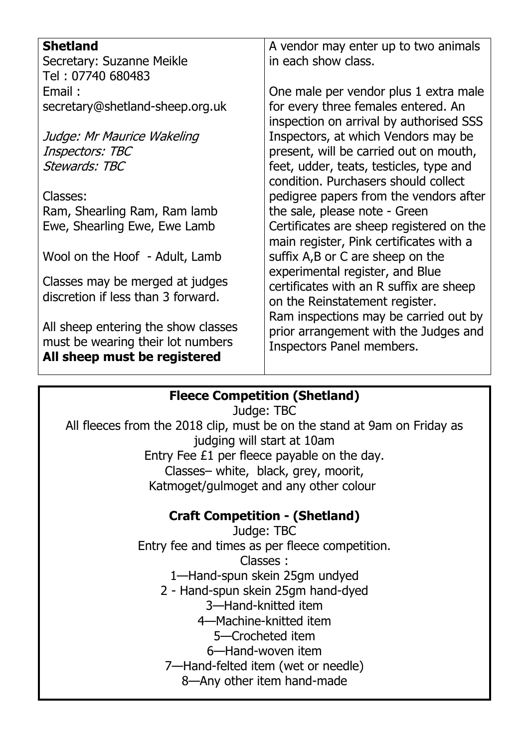| <b>Shetland</b>                     | A vendor may enter up to two animals     |
|-------------------------------------|------------------------------------------|
| Secretary: Suzanne Meikle           | in each show class.                      |
| Tel: 07740 680483                   |                                          |
| Email:                              | One male per vendor plus 1 extra male    |
| secretary@shetland-sheep.org.uk     | for every three females entered. An      |
|                                     | inspection on arrival by authorised SSS  |
| Judge: Mr Maurice Wakeling          | Inspectors, at which Vendors may be      |
| Inspectors: TBC                     | present, will be carried out on mouth,   |
| <b>Stewards: TBC</b>                | feet, udder, teats, testicles, type and  |
|                                     | condition. Purchasers should collect     |
| Classes:                            | pedigree papers from the vendors after   |
| Ram, Shearling Ram, Ram lamb        | the sale, please note - Green            |
| Ewe, Shearling Ewe, Ewe Lamb        | Certificates are sheep registered on the |
|                                     | main register, Pink certificates with a  |
| Wool on the Hoof - Adult, Lamb      | suffix A, B or C are sheep on the        |
|                                     | experimental register, and Blue          |
| Classes may be merged at judges     | certificates with an R suffix are sheep  |
| discretion if less than 3 forward.  | on the Reinstatement register.           |
|                                     | Ram inspections may be carried out by    |
| All sheep entering the show classes | prior arrangement with the Judges and    |
| must be wearing their lot numbers   | Inspectors Panel members.                |
| All sheep must be registered        |                                          |

# **Fleece Competition (Shetland)**

Judge: TBC All fleeces from the 2018 clip, must be on the stand at 9am on Friday as judging will start at 10am Entry Fee £1 per fleece payable on the day. Classes– white, black, grey, moorit, Katmoget/gulmoget and any other colour

# **Craft Competition - (Shetland)**

Judge: TBC Entry fee and times as per fleece competition. Classes : 1—Hand-spun skein 25gm undyed 2 - Hand-spun skein 25gm hand-dyed 3—Hand-knitted item 4—Machine-knitted item 5—Crocheted item 6—Hand-woven item 7—Hand-felted item (wet or needle) 8—Any other item hand-made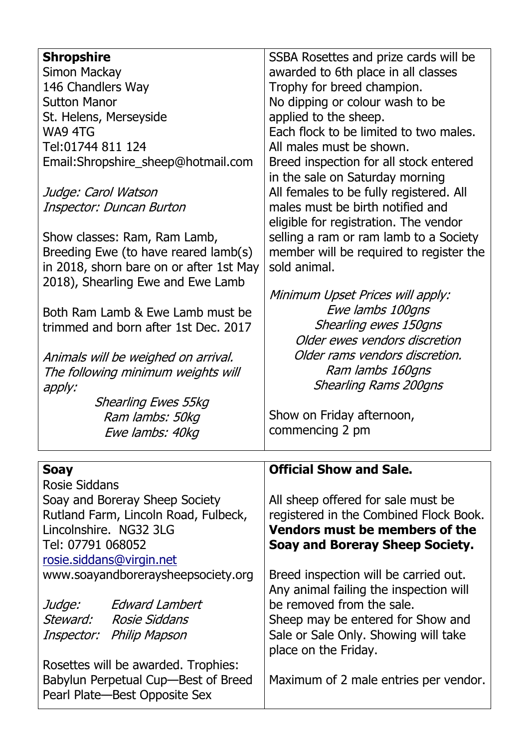| <b>Shropshire</b>                       | SSBA Rosettes and prize cards will be   |
|-----------------------------------------|-----------------------------------------|
| Simon Mackay                            | awarded to 6th place in all classes     |
| 146 Chandlers Way                       | Trophy for breed champion.              |
| <b>Sutton Manor</b>                     | No dipping or colour wash to be         |
| St. Helens, Merseyside                  | applied to the sheep.                   |
| WA9 4TG                                 | Each flock to be limited to two males.  |
| Tel:01744 811 124                       | All males must be shown.                |
| Email:Shropshire_sheep@hotmail.com      | Breed inspection for all stock entered  |
|                                         | in the sale on Saturday morning         |
| Judge: Carol Watson                     | All females to be fully registered. All |
| Inspector: Duncan Burton                | males must be birth notified and        |
|                                         | eligible for registration. The vendor   |
| Show classes: Ram, Ram Lamb,            | selling a ram or ram lamb to a Society  |
| Breeding Ewe (to have reared lamb(s)    | member will be required to register the |
| in 2018, shorn bare on or after 1st May | sold animal.                            |
| 2018), Shearling Ewe and Ewe Lamb       |                                         |
|                                         | Minimum Upset Prices will apply:        |
| Both Ram Lamb & Ewe Lamb must be        | Ewe lambs 100gns                        |
| trimmed and born after 1st Dec. 2017    | Shearling ewes 150gns                   |
|                                         | Older ewes vendors discretion           |
| Animals will be weighed on arrival.     | Older rams vendors discretion.          |
| The following minimum weights will      | Ram lambs 160gns                        |
|                                         | <b>Shearling Rams 200gns</b>            |
| apply:<br><b>Shearling Ewes 55kg</b>    |                                         |
|                                         | Show on Friday afternoon,               |
| Ram lambs: 50kg                         | commencing 2 pm                         |
| Ewe lambs: 40kg                         |                                         |
| <b>Soay</b>                             | <b>Official Show and Sale.</b>          |
| <b>Rosie Siddans</b>                    |                                         |
| Soay and Boreray Sheep Society          | All sheep offered for sale must be      |
| Rutland Farm, Lincoln Road, Fulbeck,    | registered in the Combined Flock Book.  |
| Lincolnshire. NG32 3LG                  | Vendors must be members of the          |
| Tel: 07791 068052                       | <b>Soay and Boreray Sheep Society.</b>  |
| rosie.siddans@virgin.net                |                                         |
| www.soayandboreraysheepsociety.org      | Breed inspection will be carried out.   |
|                                         | Any animal failing the inspection will  |
| <i>Edward Lambert</i><br>Judge:         | be removed from the sale.               |
| Steward: Rosie Siddans                  | Sheep may be entered for Show and       |
|                                         |                                         |
|                                         |                                         |
| Inspector: Philip Mapson                | Sale or Sale Only. Showing will take    |
|                                         | place on the Friday.                    |
| Rosettes will be awarded. Trophies:     |                                         |
| Babylun Perpetual Cup-Best of Breed     | Maximum of 2 male entries per vendor.   |
| Pearl Plate-Best Opposite Sex           |                                         |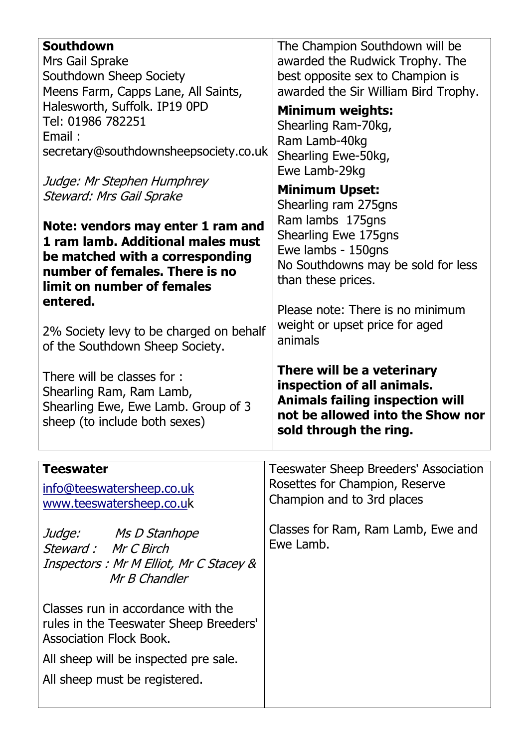| <b>Southdown</b>                                                                                                                                                                         | The Champion Southdown will be                                                                                                                                   |
|------------------------------------------------------------------------------------------------------------------------------------------------------------------------------------------|------------------------------------------------------------------------------------------------------------------------------------------------------------------|
| Mrs Gail Sprake                                                                                                                                                                          | awarded the Rudwick Trophy. The                                                                                                                                  |
| Southdown Sheep Society                                                                                                                                                                  | best opposite sex to Champion is                                                                                                                                 |
| Meens Farm, Capps Lane, All Saints,                                                                                                                                                      | awarded the Sir William Bird Trophy.                                                                                                                             |
| Halesworth, Suffolk. IP19 0PD                                                                                                                                                            | <b>Minimum weights:</b>                                                                                                                                          |
| Tel: 01986 782251                                                                                                                                                                        | Shearling Ram-70kg,                                                                                                                                              |
| Email:                                                                                                                                                                                   | Ram Lamb-40kg                                                                                                                                                    |
| secretary@southdownsheepsociety.co.uk                                                                                                                                                    | Shearling Ewe-50kg,                                                                                                                                              |
| Judge: Mr Stephen Humphrey<br><b>Steward: Mrs Gail Sprake</b>                                                                                                                            | Ewe Lamb-29kg<br><b>Minimum Upset:</b><br>Shearling ram 275gns                                                                                                   |
| Note: vendors may enter 1 ram and                                                                                                                                                        | Ram lambs 175gns                                                                                                                                                 |
| 1 ram lamb. Additional males must                                                                                                                                                        | Shearling Ewe 175gns                                                                                                                                             |
| be matched with a corresponding                                                                                                                                                          | Ewe lambs - 150gns                                                                                                                                               |
| number of females. There is no                                                                                                                                                           | No Southdowns may be sold for less                                                                                                                               |
| limit on number of females                                                                                                                                                               | than these prices.                                                                                                                                               |
| entered.                                                                                                                                                                                 | Please note: There is no minimum                                                                                                                                 |
| 2% Society levy to be charged on behalf                                                                                                                                                  | weight or upset price for aged                                                                                                                                   |
| of the Southdown Sheep Society.                                                                                                                                                          | animals                                                                                                                                                          |
| There will be classes for:<br>Shearling Ram, Ram Lamb,<br>Shearling Ewe, Ewe Lamb. Group of 3<br>sheep (to include both sexes)                                                           | There will be a veterinary<br>inspection of all animals.<br><b>Animals failing inspection will</b><br>not be allowed into the Show nor<br>sold through the ring. |
| <b>Teeswater</b>                                                                                                                                                                         | Teeswater Sheep Breeders' Association                                                                                                                            |
| <u>info@teeswatersheep.co.uk</u>                                                                                                                                                         | Rosettes for Champion, Reserve                                                                                                                                   |
| www.teeswatersheep.co.uk                                                                                                                                                                 | Champion and to 3rd places                                                                                                                                       |
| Judge: Ms D Stanhope                                                                                                                                                                     | Classes for Ram, Ram Lamb, Ewe and                                                                                                                               |
| Steward: Mr C Birch                                                                                                                                                                      | Ewe Lamb.                                                                                                                                                        |
| Inspectors : Mr M Elliot, Mr C Stacey &<br>Mr B Chandler                                                                                                                                 |                                                                                                                                                                  |
| Classes run in accordance with the<br>rules in the Teeswater Sheep Breeders'<br><b>Association Flock Book.</b><br>All sheep will be inspected pre sale.<br>All sheep must be registered. |                                                                                                                                                                  |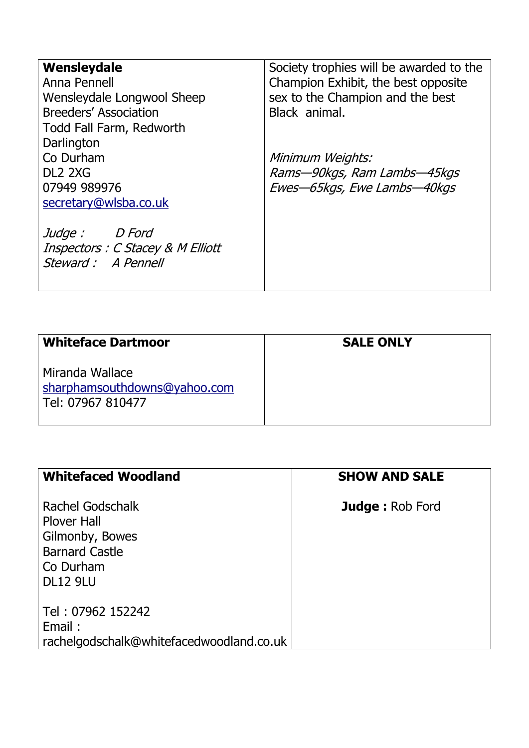| Wensleydale                       | Society trophies will be awarded to the |
|-----------------------------------|-----------------------------------------|
| Anna Pennell                      | Champion Exhibit, the best opposite     |
|                                   |                                         |
| Wensleydale Longwool Sheep        | sex to the Champion and the best        |
| Breeders' Association             | Black animal.                           |
| Todd Fall Farm, Redworth          |                                         |
| Darlington                        |                                         |
| Co Durham                         | Minimum Weights:                        |
| DL <sub>2</sub> 2XG               | Rams-90kgs, Ram Lambs-45kgs             |
| 07949 989976                      | Ewes-65kgs, Ewe Lambs-40kgs             |
| secretary@wlsba.co.uk             |                                         |
|                                   |                                         |
| <i>Judge :</i><br><i>D Ford</i>   |                                         |
|                                   |                                         |
| Inspectors : C Stacey & M Elliott |                                         |
| Steward : A Pennell               |                                         |
|                                   |                                         |
|                                   |                                         |

| <b>Whiteface Dartmoor</b>                                            | <b>SALE ONLY</b> |
|----------------------------------------------------------------------|------------------|
| Miranda Wallace<br>sharphamsouthdowns@yahoo.com<br>Tel: 07967 810477 |                  |

 $\mathbf{I}$ 

| <b>Whitefaced Woodland</b>                                                                                         | <b>SHOW AND SALE</b>   |
|--------------------------------------------------------------------------------------------------------------------|------------------------|
| Rachel Godschalk<br><b>Plover Hall</b><br>Gilmonby, Bowes<br><b>Barnard Castle</b><br>Co Durham<br><b>DL12 9LU</b> | <b>Judge: Rob Ford</b> |
| Tel: 07962 152242<br>Email:<br>rachelgodschalk@whitefacedwoodland.co.uk                                            |                        |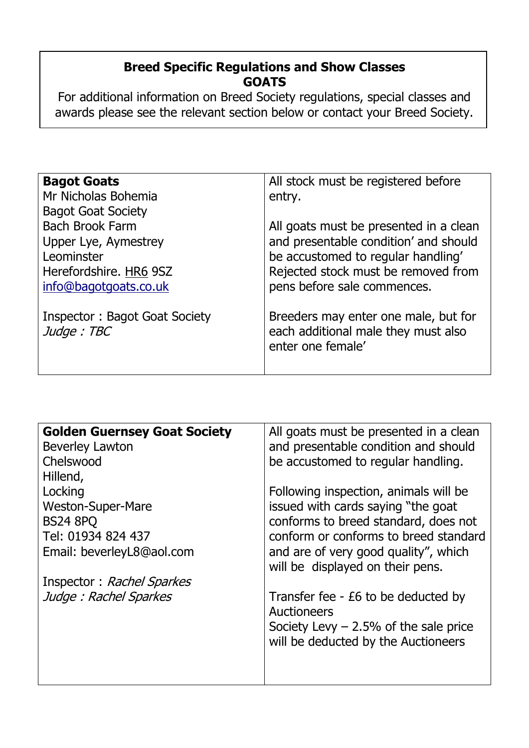# **Breed Specific Regulations and Show Classes GOATS**

For additional information on Breed Society regulations, special classes and awards please see the relevant section below or contact your Breed Society.

| <b>Bagot Goats</b>            | All stock must be registered before    |
|-------------------------------|----------------------------------------|
|                               |                                        |
| Mr Nicholas Bohemia           | entry.                                 |
| <b>Bagot Goat Society</b>     |                                        |
| <b>Bach Brook Farm</b>        | All goats must be presented in a clean |
| Upper Lye, Aymestrey          | and presentable condition' and should  |
| Leominster                    | be accustomed to regular handling'     |
| Herefordshire. HR6 9SZ        | Rejected stock must be removed from    |
| info@bagotgoats.co.uk         | pens before sale commences.            |
|                               |                                        |
| Inspector: Bagot Goat Society | Breeders may enter one male, but for   |
| Judge: TBC                    | each additional male they must also    |
|                               | enter one female'                      |
|                               |                                        |

| <b>Golden Guernsey Goat Society</b> | All goats must be presented in a clean                                   |
|-------------------------------------|--------------------------------------------------------------------------|
| <b>Beverley Lawton</b>              | and presentable condition and should                                     |
| Chelswood                           | be accustomed to regular handling.                                       |
| Hillend,                            |                                                                          |
| Locking                             | Following inspection, animals will be                                    |
| <b>Weston-Super-Mare</b>            | issued with cards saying "the goat                                       |
| <b>BS24 8PQ</b>                     | conforms to breed standard, does not                                     |
| Tel: 01934 824 437                  | conform or conforms to breed standard                                    |
| Email: beverleyL8@aol.com           | and are of very good quality", which<br>will be displayed on their pens. |
| Inspector: Rachel Sparkes           |                                                                          |
| Judge: Rachel Sparkes               | Transfer fee - £6 to be deducted by                                      |
|                                     | Auctioneers                                                              |
|                                     | Society Levy $-2.5%$ of the sale price                                   |
|                                     | will be deducted by the Auctioneers                                      |
|                                     |                                                                          |
|                                     |                                                                          |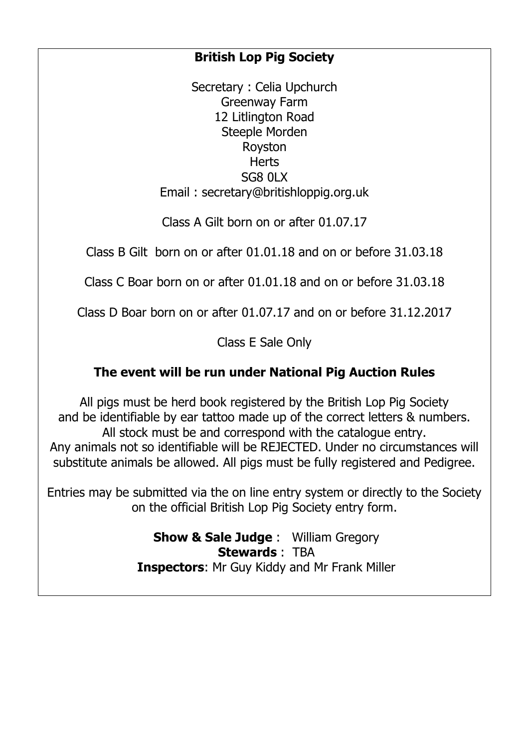# **British Lop Pig Society**

Secretary : Celia Upchurch Greenway Farm 12 Litlington Road Steeple Morden Royston **Herts** SG8 0LX Email : secretary@britishloppig.org.uk

Class A Gilt born on or after 01.07.17

Class B Gilt born on or after 01.01.18 and on or before 31.03.18

Class C Boar born on or after 01.01.18 and on or before 31.03.18

Class D Boar born on or after 01.07.17 and on or before 31.12.2017

Class E Sale Only

# **The event will be run under National Pig Auction Rules**

All pigs must be herd book registered by the British Lop Pig Society and be identifiable by ear tattoo made up of the correct letters & numbers. All stock must be and correspond with the catalogue entry. Any animals not so identifiable will be REJECTED. Under no circumstances will substitute animals be allowed. All pigs must be fully registered and Pedigree.

Entries may be submitted via the on line entry system or directly to the Society on the official British Lop Pig Society entry form.

> **Show & Sale Judge** : William Gregory **Stewards** : TBA **Inspectors**: Mr Guy Kiddy and Mr Frank Miller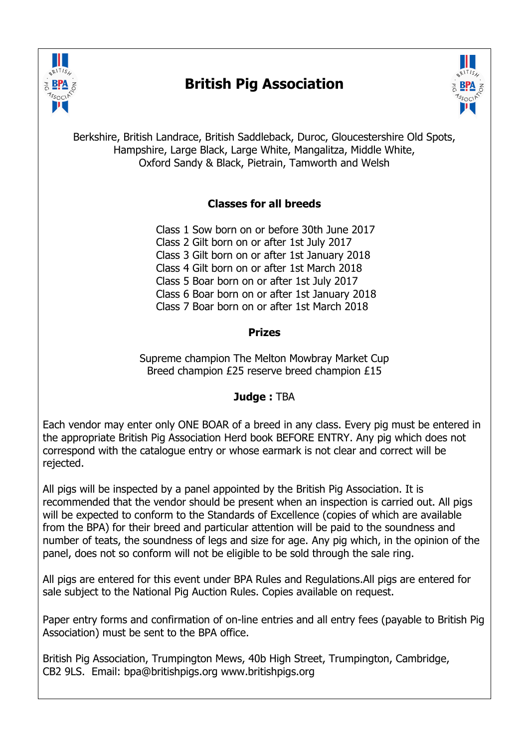

# **British Pig Association**



Berkshire, British Landrace, British Saddleback, Duroc, Gloucestershire Old Spots, Hampshire, Large Black, Large White, Mangalitza, Middle White, Oxford Sandy & Black, Pietrain, Tamworth and Welsh

#### **Classes for all breeds**

Class 1 Sow born on or before 30th June 2017 Class 2 Gilt born on or after 1st July 2017 Class 3 Gilt born on or after 1st January 2018 Class 4 Gilt born on or after 1st March 2018 Class 5 Boar born on or after 1st July 2017 Class 6 Boar born on or after 1st January 2018 Class 7 Boar born on or after 1st March 2018

#### **Prizes**

Supreme champion The Melton Mowbray Market Cup Breed champion £25 reserve breed champion £15

#### **Judge :** TBA

Each vendor may enter only ONE BOAR of a breed in any class. Every pig must be entered in the appropriate British Pig Association Herd book BEFORE ENTRY. Any pig which does not correspond with the catalogue entry or whose earmark is not clear and correct will be rejected.

All pigs will be inspected by a panel appointed by the British Pig Association. It is recommended that the vendor should be present when an inspection is carried out. All pigs will be expected to conform to the Standards of Excellence (copies of which are available from the BPA) for their breed and particular attention will be paid to the soundness and number of teats, the soundness of legs and size for age. Any pig which, in the opinion of the panel, does not so conform will not be eligible to be sold through the sale ring.

All pigs are entered for this event under BPA Rules and Regulations.All pigs are entered for sale subject to the National Pig Auction Rules. Copies available on request.

Paper entry forms and confirmation of on-line entries and all entry fees (payable to British Pig Association) must be sent to the BPA office.

British Pig Association, Trumpington Mews, 40b High Street, Trumpington, Cambridge, CB2 9LS. Email: bpa@britishpigs.org www.britishpigs.org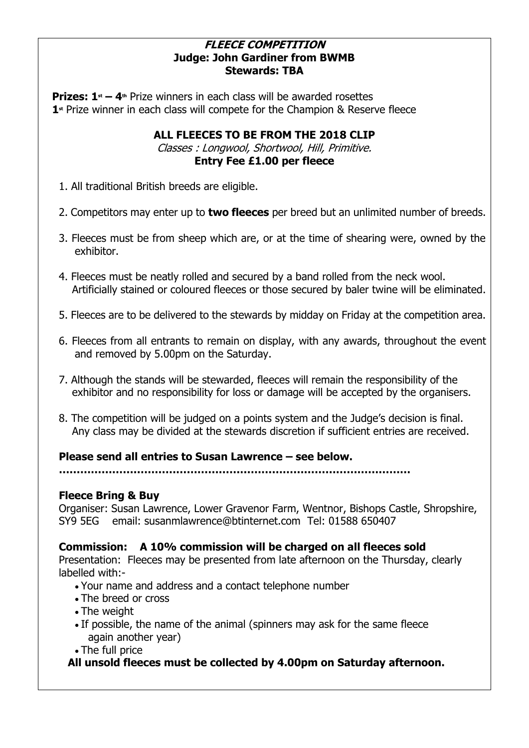#### **FLEECE COMPETITION Judge: John Gardiner from BWMB Stewards: TBA**

**Prizes: 1<sup>st</sup>** – 4<sup>th</sup> Prize winners in each class will be awarded rosettes  **1st** Prize winner in each class will compete for the Champion & Reserve fleece

### **ALL FLEECES TO BE FROM THE 2018 CLIP**

Classes : Longwool, Shortwool, Hill, Primitive. **Entry Fee £1.00 per fleece**

- 1. All traditional British breeds are eligible.
- 2. Competitors may enter up to **two fleeces** per breed but an unlimited number of breeds.
- 3. Fleeces must be from sheep which are, or at the time of shearing were, owned by the exhibitor.
- 4. Fleeces must be neatly rolled and secured by a band rolled from the neck wool. Artificially stained or coloured fleeces or those secured by baler twine will be eliminated.
- 5. Fleeces are to be delivered to the stewards by midday on Friday at the competition area.
- 6. Fleeces from all entrants to remain on display, with any awards, throughout the event and removed by 5.00pm on the Saturday.
- 7. Although the stands will be stewarded, fleeces will remain the responsibility of the exhibitor and no responsibility for loss or damage will be accepted by the organisers.
- 8. The competition will be judged on a points system and the Judge's decision is final. Any class may be divided at the stewards discretion if sufficient entries are received.

#### **Please send all entries to Susan Lawrence – see below.**

**………………………………………………………………………………………**

#### **Fleece Bring & Buy**

Organiser: Susan Lawrence, Lower Gravenor Farm, Wentnor, Bishops Castle, Shropshire, SY9 5EG email: susanmlawrence@btinternet.com Tel: 01588 650407

#### **Commission: A 10% commission will be charged on all fleeces sold**

Presentation: Fleeces may be presented from late afternoon on the Thursday, clearly labelled with:-

- Your name and address and a contact telephone number
- The breed or cross
- The weight
- If possible, the name of the animal (spinners may ask for the same fleece again another year)
- The full price

#### **All unsold fleeces must be collected by 4.00pm on Saturday afternoon.**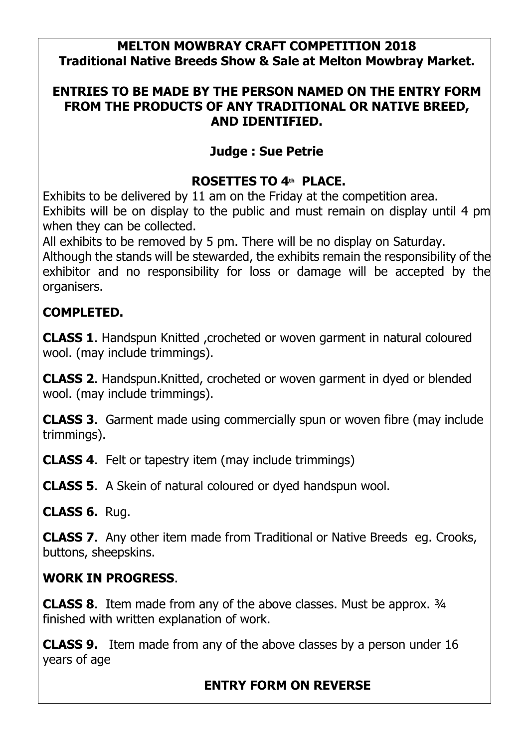# **MELTON MOWBRAY CRAFT COMPETITION 2018 Traditional Native Breeds Show & Sale at Melton Mowbray Market.**

# **ENTRIES TO BE MADE BY THE PERSON NAMED ON THE ENTRY FORM FROM THE PRODUCTS OF ANY TRADITIONAL OR NATIVE BREED, AND IDENTIFIED.**

# **Judge : Sue Petrie**

# **ROSETTES TO 4th PLACE.**

Exhibits to be delivered by 11 am on the Friday at the competition area. Exhibits will be on display to the public and must remain on display until 4 pm when they can be collected.

All exhibits to be removed by 5 pm. There will be no display on Saturday.

Although the stands will be stewarded, the exhibits remain the responsibility of the exhibitor and no responsibility for loss or damage will be accepted by the organisers.

# **COMPLETED.**

**CLASS 1**. Handspun Knitted ,crocheted or woven garment in natural coloured wool. (may include trimmings).

**CLASS 2**. Handspun.Knitted, crocheted or woven garment in dyed or blended wool. (may include trimmings).

**CLASS 3**. Garment made using commercially spun or woven fibre (may include trimmings).

**CLASS 4**. Felt or tapestry item (may include trimmings)

**CLASS 5**. A Skein of natural coloured or dyed handspun wool.

**CLASS 6.** Rug.

**CLASS 7**. Any other item made from Traditional or Native Breeds eg. Crooks, buttons, sheepskins.

# **WORK IN PROGRESS**.

**CLASS 8.** Item made from any of the above classes. Must be approx. 3/4 finished with written explanation of work.

**CLASS 9.** Item made from any of the above classes by a person under 16 years of age

# **ENTRY FORM ON REVERSE**